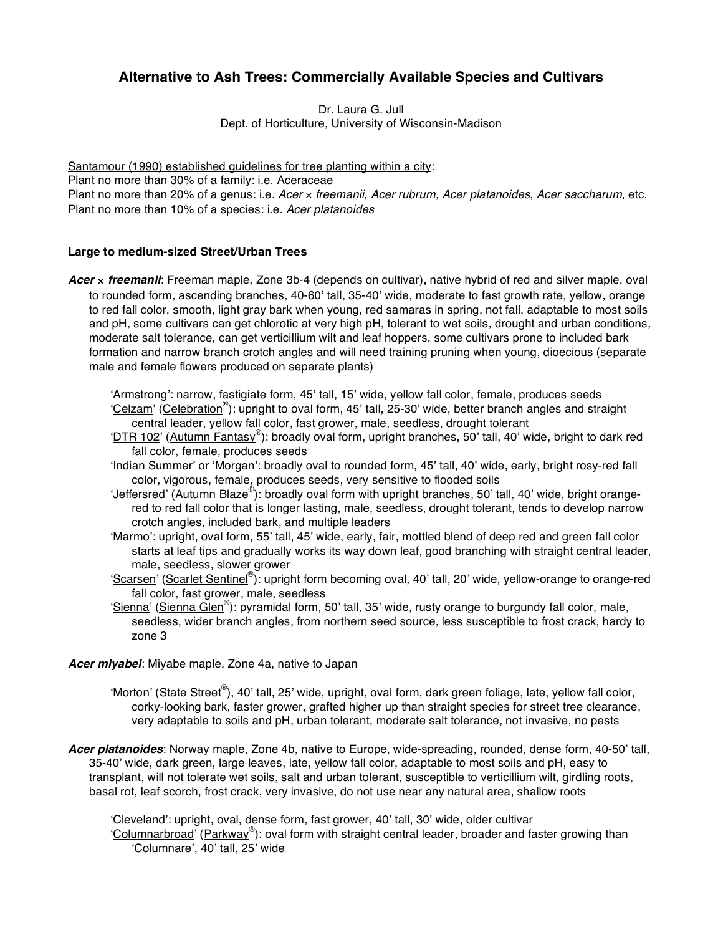# **Alternative to Ash Trees: Commercially Available Species and Cultivars**

Dr. Laura G. Jull Dept. of Horticulture, University of Wisconsin-Madison

Santamour (1990) established quidelines for tree planting within a city: Plant no more than 30% of a family: i.e. Aceraceae Plant no more than 20% of a genus: i.e. *Acer* × *freemanii*, *Acer rubrum*, *Acer platanoides*, *Acer saccharum*, etc. Plant no more than 10% of a species: i.e. *Acer platanoides*

# **Large to medium-sized Street/Urban Trees**

*Acer* × *freemanii*: Freeman maple, Zone 3b-4 (depends on cultivar), native hybrid of red and silver maple, oval to rounded form, ascending branches, 40-60' tall, 35-40' wide, moderate to fast growth rate, yellow, orange to red fall color, smooth, light gray bark when young, red samaras in spring, not fall, adaptable to most soils and pH, some cultivars can get chlorotic at very high pH, tolerant to wet soils, drought and urban conditions, moderate salt tolerance, can get verticillium wilt and leaf hoppers, some cultivars prone to included bark formation and narrow branch crotch angles and will need training pruning when young, dioecious (separate male and female flowers produced on separate plants)

ʻArmstrong': narrow, fastigiate form, 45' tall, 15' wide, yellow fall color, female, produces seeds 'Celzam' (Celebration®): upright to oval form, 45' tall, 25-30' wide, better branch angles and straight central leader, yellow fall color, fast grower, male, seedless, drought tolerant

'DTR 102' (Autumn Fantasy®): broadly oval form, upright branches, 50' tall, 40' wide, bright to dark red fall color, female, produces seeds

ʻIndian Summer' or ʻMorgan': broadly oval to rounded form, 45' tall, 40' wide, early, bright rosy-red fall color, vigorous, female, produces seeds, very sensitive to flooded soils

- 'Jeffersred' (Autumn Blaze®): broadly oval form with upright branches, 50' tall, 40' wide, bright orangered to red fall color that is longer lasting, male, seedless, drought tolerant, tends to develop narrow crotch angles, included bark, and multiple leaders
- ʻMarmo': upright, oval form, 55' tall, 45' wide, early, fair, mottled blend of deep red and green fall color starts at leaf tips and gradually works its way down leaf, good branching with straight central leader, male, seedless, slower grower
- ʻScarsen' (Scarlet Sentinel® ): upright form becoming oval, 40' tall, 20' wide, yellow-orange to orange-red fall color, fast grower, male, seedless
- 'Sienna' (Sienna Glen®): pyramidal form, 50' tall, 35' wide, rusty orange to burgundy fall color, male, seedless, wider branch angles, from northern seed source, less susceptible to frost crack, hardy to zone 3

## *Acer miyabei*: Miyabe maple, Zone 4a, native to Japan

- 'Morton' (State Street®), 40' tall, 25' wide, upright, oval form, dark green foliage, late, yellow fall color, corky-looking bark, faster grower, grafted higher up than straight species for street tree clearance, very adaptable to soils and pH, urban tolerant, moderate salt tolerance, not invasive, no pests
- *Acer platanoides*: Norway maple, Zone 4b, native to Europe, wide-spreading, rounded, dense form, 40-50' tall, 35-40' wide, dark green, large leaves, late, yellow fall color, adaptable to most soils and pH, easy to transplant, will not tolerate wet soils, salt and urban tolerant, susceptible to verticillium wilt, girdling roots, basal rot, leaf scorch, frost crack, very invasive, do not use near any natural area, shallow roots

ʻCleveland': upright, oval, dense form, fast grower, 40' tall, 30' wide, older cultivar 'Columnarbroad' (Parkway®): oval form with straight central leader, broader and faster growing than ʻColumnare', 40' tall, 25' wide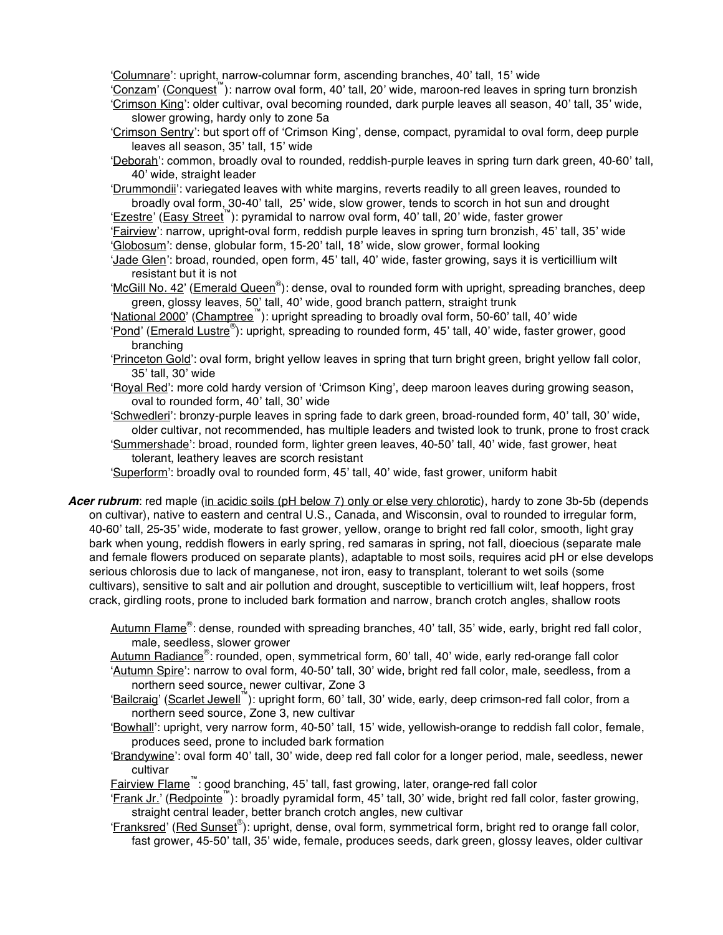ʻColumnare': upright, narrow-columnar form, ascending branches, 40' tall, 15' wide

ʻConzam' (Conquest™): narrow oval form, 40' tall, 20' wide, maroon-red leaves in spring turn bronzish ʻCrimson King': older cultivar, oval becoming rounded, dark purple leaves all season, 40' tall, 35' wide, slower growing, hardy only to zone 5a

- ʻCrimson Sentry': but sport off of ʻCrimson King', dense, compact, pyramidal to oval form, deep purple leaves all season, 35' tall, 15' wide
- ʻDeborah': common, broadly oval to rounded, reddish-purple leaves in spring turn dark green, 40-60' tall, 40' wide, straight leader

ʻDrummondii': variegated leaves with white margins, reverts readily to all green leaves, rounded to broadly oval form, 30-40' tall, 25' wide, slow grower, tends to scorch in hot sun and drought

ʻEzestre' (Easy Street™): pyramidal to narrow oval form, 40' tall, 20' wide, faster grower

ʻFairview': narrow, upright-oval form, reddish purple leaves in spring turn bronzish, 45' tall, 35' wide ʻGlobosum': dense, globular form, 15-20' tall, 18' wide, slow grower, formal looking

ʻJade Glen': broad, rounded, open form, 45' tall, 40' wide, faster growing, says it is verticillium wilt resistant but it is not

'McGill No. 42' (Emerald Queen®): dense, oval to rounded form with upright, spreading branches, deep green, glossy leaves, 50' tall, 40' wide, good branch pattern, straight trunk

'National 2000' (Champtree™): upright spreading to broadly oval form, 50-60' tall, 40' wide

ʻPond' (Emerald Lustre® ): upright, spreading to rounded form, 45' tall, 40' wide, faster grower, good branching

ʻPrinceton Gold': oval form, bright yellow leaves in spring that turn bright green, bright yellow fall color, 35' tall, 30' wide

ʻRoyal Red': more cold hardy version of ʻCrimson King', deep maroon leaves during growing season, oval to rounded form, 40' tall, 30' wide

ʻSchwedleri': bronzy-purple leaves in spring fade to dark green, broad-rounded form, 40' tall, 30' wide, older cultivar, not recommended, has multiple leaders and twisted look to trunk, prone to frost crack

ʻSummershade': broad, rounded form, lighter green leaves, 40-50' tall, 40' wide, fast grower, heat tolerant, leathery leaves are scorch resistant

ʻSuperform': broadly oval to rounded form, 45' tall, 40' wide, fast grower, uniform habit

*Acer rubrum*: red maple (in acidic soils (pH below 7) only or else very chlorotic), hardy to zone 3b-5b (depends on cultivar), native to eastern and central U.S., Canada, and Wisconsin, oval to rounded to irregular form, 40-60' tall, 25-35' wide, moderate to fast grower, yellow, orange to bright red fall color, smooth, light gray bark when young, reddish flowers in early spring, red samaras in spring, not fall, dioecious (separate male and female flowers produced on separate plants), adaptable to most soils, requires acid pH or else develops serious chlorosis due to lack of manganese, not iron, easy to transplant, tolerant to wet soils (some cultivars), sensitive to salt and air pollution and drought, susceptible to verticillium wilt, leaf hoppers, frost crack, girdling roots, prone to included bark formation and narrow, branch crotch angles, shallow roots

Autumn Flame®: dense, rounded with spreading branches, 40' tall, 35' wide, early, bright red fall color, male, seedless, slower grower

Autumn Radiance®: rounded, open, symmetrical form, 60' tall, 40' wide, early red-orange fall color ʻAutumn Spire': narrow to oval form, 40-50' tall, 30' wide, bright red fall color, male, seedless, from a northern seed source, newer cultivar, Zone 3

ʻBailcraig' (Scarlet Jewell™): upright form, 60' tall, 30' wide, early, deep crimson-red fall color, from a northern seed source, Zone 3, new cultivar

ʻBowhall': upright, very narrow form, 40-50' tall, 15' wide, yellowish-orange to reddish fall color, female, produces seed, prone to included bark formation

ʻBrandywine': oval form 40' tall, 30' wide, deep red fall color for a longer period, male, seedless, newer cultivar

Fairview Flame™: good branching, 45' tall, fast growing, later, orange-red fall color

- 'Frank Jr.' (Redpointe<sup>™</sup>): broadly pyramidal form, 45' tall, 30' wide, bright red fall color, faster growing, straight central leader, better branch crotch angles, new cultivar
- 'Franksred' (Red Sunset®): upright, dense, oval form, symmetrical form, bright red to orange fall color, fast grower, 45-50' tall, 35' wide, female, produces seeds, dark green, glossy leaves, older cultivar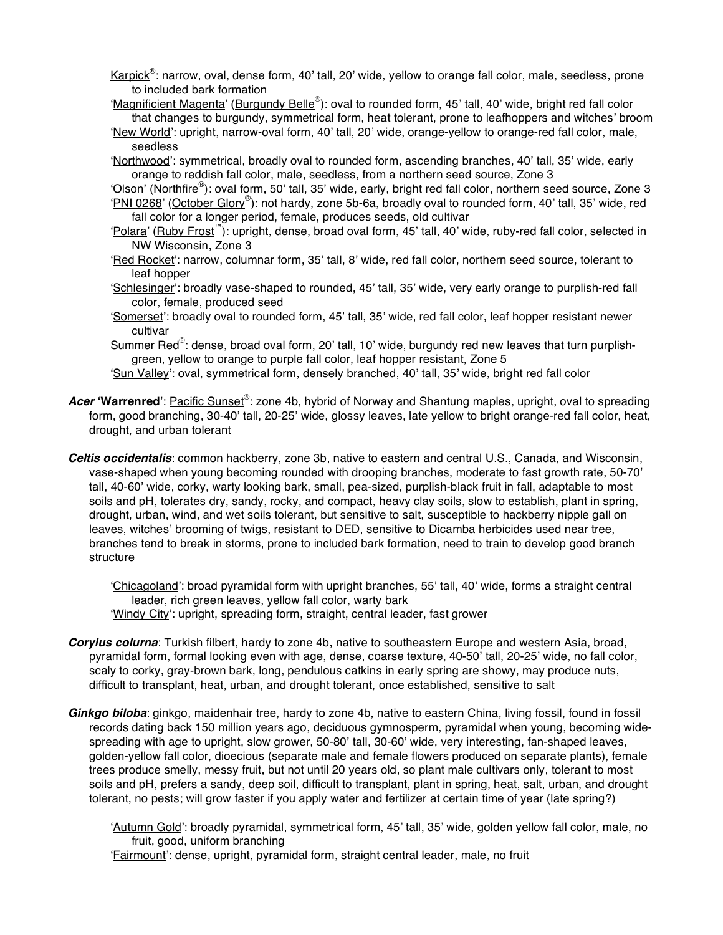- Karpick<sup>®</sup>: narrow, oval, dense form, 40' tall, 20' wide, yellow to orange fall color, male, seedless, prone to included bark formation
- 'Magnificient Magenta' (Burgundy Belle®): oval to rounded form, 45' tall, 40' wide, bright red fall color that changes to burgundy, symmetrical form, heat tolerant, prone to leafhoppers and witches' broom

ʻNew World': upright, narrow-oval form, 40' tall, 20' wide, orange-yellow to orange-red fall color, male, seedless

ʻNorthwood': symmetrical, broadly oval to rounded form, ascending branches, 40' tall, 35' wide, early orange to reddish fall color, male, seedless, from a northern seed source, Zone 3

'Olson' (Northfire®): oval form, 50' tall, 35' wide, early, bright red fall color, northern seed source, Zone 3 ʻPNI 0268' (October Glory® ): not hardy, zone 5b-6a, broadly oval to rounded form, 40' tall, 35' wide, red fall color for a longer period, female, produces seeds, old cultivar

- ʻPolara' (Ruby Frost™): upright, dense, broad oval form, 45' tall, 40' wide, ruby-red fall color, selected in NW Wisconsin, Zone 3
- 'Red Rocket': narrow, columnar form, 35' tall, 8' wide, red fall color, northern seed source, tolerant to leaf hopper
- ʻSchlesinger': broadly vase-shaped to rounded, 45' tall, 35' wide, very early orange to purplish-red fall color, female, produced seed
- ʻSomerset': broadly oval to rounded form, 45' tall, 35' wide, red fall color, leaf hopper resistant newer cultivar

Summer Red®: dense, broad oval form, 20' tall, 10' wide, burgundy red new leaves that turn purplishgreen, yellow to orange to purple fall color, leaf hopper resistant, Zone 5

- ʻSun Valley': oval, symmetrical form, densely branched, 40' tall, 35' wide, bright red fall color
- Acer 'Warrenred': Pacific Sunset®: zone 4b, hybrid of Norway and Shantung maples, upright, oval to spreading form, good branching, 30-40' tall, 20-25' wide, glossy leaves, late yellow to bright orange-red fall color, heat, drought, and urban tolerant
- *Celtis occidentalis*: common hackberry, zone 3b, native to eastern and central U.S., Canada, and Wisconsin, vase-shaped when young becoming rounded with drooping branches, moderate to fast growth rate, 50-70' tall, 40-60' wide, corky, warty looking bark, small, pea-sized, purplish-black fruit in fall, adaptable to most soils and pH, tolerates dry, sandy, rocky, and compact, heavy clay soils, slow to establish, plant in spring, drought, urban, wind, and wet soils tolerant, but sensitive to salt, susceptible to hackberry nipple gall on leaves, witches' brooming of twigs, resistant to DED, sensitive to Dicamba herbicides used near tree, branches tend to break in storms, prone to included bark formation, need to train to develop good branch structure

ʻChicagoland': broad pyramidal form with upright branches, 55' tall, 40' wide, forms a straight central leader, rich green leaves, yellow fall color, warty bark ʻWindy City': upright, spreading form, straight, central leader, fast grower

- *Corylus colurna*: Turkish filbert, hardy to zone 4b, native to southeastern Europe and western Asia, broad, pyramidal form, formal looking even with age, dense, coarse texture, 40-50' tall, 20-25' wide, no fall color, scaly to corky, gray-brown bark, long, pendulous catkins in early spring are showy, may produce nuts, difficult to transplant, heat, urban, and drought tolerant, once established, sensitive to salt
- *Ginkgo biloba*: ginkgo, maidenhair tree, hardy to zone 4b, native to eastern China, living fossil, found in fossil records dating back 150 million years ago, deciduous gymnosperm, pyramidal when young, becoming widespreading with age to upright, slow grower, 50-80' tall, 30-60' wide, very interesting, fan-shaped leaves, golden-yellow fall color, dioecious (separate male and female flowers produced on separate plants), female trees produce smelly, messy fruit, but not until 20 years old, so plant male cultivars only, tolerant to most soils and pH, prefers a sandy, deep soil, difficult to transplant, plant in spring, heat, salt, urban, and drought tolerant, no pests; will grow faster if you apply water and fertilizer at certain time of year (late spring?)

ʻAutumn Gold': broadly pyramidal, symmetrical form, 45' tall, 35' wide, golden yellow fall color, male, no fruit, good, uniform branching

ʻFairmount': dense, upright, pyramidal form, straight central leader, male, no fruit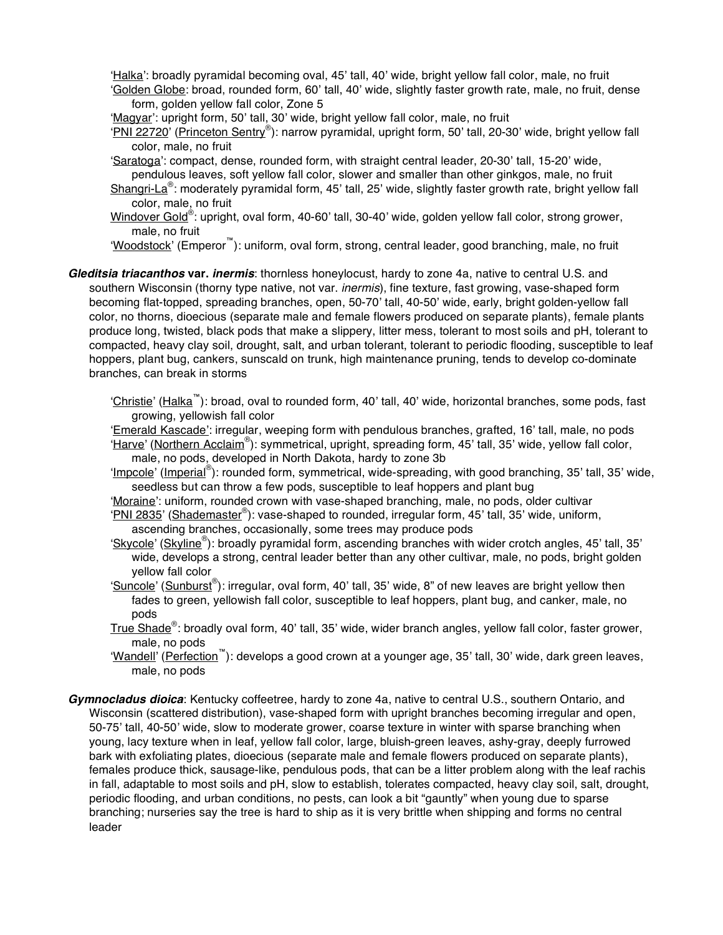ʻHalka': broadly pyramidal becoming oval, 45' tall, 40' wide, bright yellow fall color, male, no fruit ʻGolden Globe: broad, rounded form, 60' tall, 40' wide, slightly faster growth rate, male, no fruit, dense

form, golden yellow fall color, Zone 5

ʻMagyar': upright form, 50' tall, 30' wide, bright yellow fall color, male, no fruit

ʻPNI 22720' (Princeton Sentry® ): narrow pyramidal, upright form, 50' tall, 20-30' wide, bright yellow fall color, male, no fruit

ʻSaratoga': compact, dense, rounded form, with straight central leader, 20-30' tall, 15-20' wide,

pendulous leaves, soft yellow fall color, slower and smaller than other ginkgos, male, no fruit Shangri-La<sup>®</sup>: moderately pyramidal form, 45' tall, 25' wide, slightly faster growth rate, bright yellow fall color, male, no fruit

Windover Gold®: upright, oval form, 40-60' tall, 30-40' wide, golden yellow fall color, strong grower, male, no fruit

ʻWoodstock' (Emperor™): uniform, oval form, strong, central leader, good branching, male, no fruit

*Gleditsia triacanthos* **var.** *inermis*: thornless honeylocust, hardy to zone 4a, native to central U.S. and southern Wisconsin (thorny type native, not var. *inermis*), fine texture, fast growing, vase-shaped form becoming flat-topped, spreading branches, open, 50-70' tall, 40-50' wide, early, bright golden-yellow fall color, no thorns, dioecious (separate male and female flowers produced on separate plants), female plants produce long, twisted, black pods that make a slippery, litter mess, tolerant to most soils and pH, tolerant to compacted, heavy clay soil, drought, salt, and urban tolerant, tolerant to periodic flooding, susceptible to leaf hoppers, plant bug, cankers, sunscald on trunk, high maintenance pruning, tends to develop co-dominate branches, can break in storms

ʻChristie' (Halka™): broad, oval to rounded form, 40' tall, 40' wide, horizontal branches, some pods, fast growing, yellowish fall color

ʻEmerald Kascade': irregular, weeping form with pendulous branches, grafted, 16' tall, male, no pods ʻHarve' (Northern Acclaim® ): symmetrical, upright, spreading form, 45' tall, 35' wide, yellow fall color,

male, no pods, developed in North Dakota, hardy to zone 3b

ʻImpcole' (Imperial® ): rounded form, symmetrical, wide-spreading, with good branching, 35' tall, 35' wide, seedless but can throw a few pods, susceptible to leaf hoppers and plant bug

ʻMoraine': uniform, rounded crown with vase-shaped branching, male, no pods, older cultivar

ʻPNI 2835' (Shademaster® ): vase-shaped to rounded, irregular form, 45' tall, 35' wide, uniform,

ascending branches, occasionally, some trees may produce pods

ʻSkycole' (Skyline® ): broadly pyramidal form, ascending branches with wider crotch angles, 45' tall, 35' wide, develops a strong, central leader better than any other cultivar, male, no pods, bright golden yellow fall color

'Suncole' (Sunburst®): irregular, oval form, 40' tall, 35' wide, 8" of new leaves are bright yellow then fades to green, yellowish fall color, susceptible to leaf hoppers, plant bug, and canker, male, no pods

True Shade®: broadly oval form, 40' tall, 35' wide, wider branch angles, yellow fall color, faster grower, male, no pods

ʻWandell' (Perfection™): develops a good crown at a younger age, 35' tall, 30' wide, dark green leaves, male, no pods

*Gymnocladus dioica*: Kentucky coffeetree, hardy to zone 4a, native to central U.S., southern Ontario, and Wisconsin (scattered distribution), vase-shaped form with upright branches becoming irregular and open, 50-75' tall, 40-50' wide, slow to moderate grower, coarse texture in winter with sparse branching when young, lacy texture when in leaf, yellow fall color, large, bluish-green leaves, ashy-gray, deeply furrowed bark with exfoliating plates, dioecious (separate male and female flowers produced on separate plants), females produce thick, sausage-like, pendulous pods, that can be a litter problem along with the leaf rachis in fall, adaptable to most soils and pH, slow to establish, tolerates compacted, heavy clay soil, salt, drought, periodic flooding, and urban conditions, no pests, can look a bit "gauntly" when young due to sparse branching; nurseries say the tree is hard to ship as it is very brittle when shipping and forms no central leader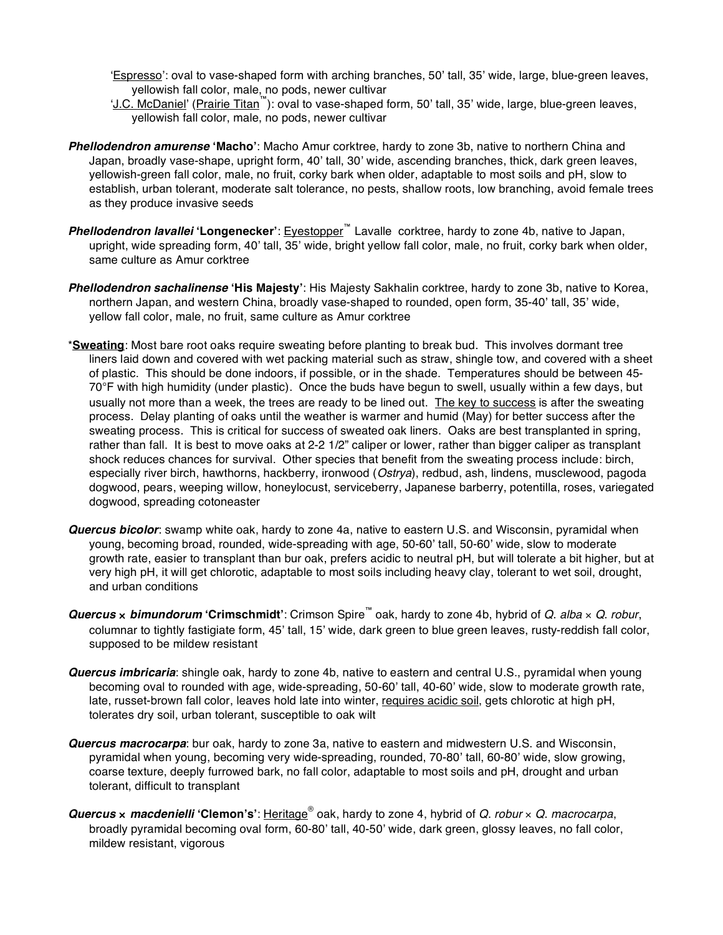ʻEspresso': oval to vase-shaped form with arching branches, 50' tall, 35' wide, large, blue-green leaves, yellowish fall color, male, no pods, newer cultivar

- ʻJ.C. McDaniel' (Prairie Titan™): oval to vase-shaped form, 50' tall, 35' wide, large, blue-green leaves, yellowish fall color, male, no pods, newer cultivar
- *Phellodendron amurense* **ʻMacho'**: Macho Amur corktree, hardy to zone 3b, native to northern China and Japan, broadly vase-shape, upright form, 40' tall, 30' wide, ascending branches, thick, dark green leaves, yellowish-green fall color, male, no fruit, corky bark when older, adaptable to most soils and pH, slow to establish, urban tolerant, moderate salt tolerance, no pests, shallow roots, low branching, avoid female trees as they produce invasive seeds
- *Phellodendron lavallei* **ʻLongenecker'**: Eyestopper™ Lavalle corktree, hardy to zone 4b, native to Japan, upright, wide spreading form, 40' tall, 35' wide, bright yellow fall color, male, no fruit, corky bark when older, same culture as Amur corktree
- *Phellodendron sachalinense* **ʻHis Majesty'**: His Majesty Sakhalin corktree, hardy to zone 3b, native to Korea, northern Japan, and western China, broadly vase-shaped to rounded, open form, 35-40' tall, 35' wide, yellow fall color, male, no fruit, same culture as Amur corktree
- \***Sweating**: Most bare root oaks require sweating before planting to break bud. This involves dormant tree liners laid down and covered with wet packing material such as straw, shingle tow, and covered with a sheet of plastic. This should be done indoors, if possible, or in the shade. Temperatures should be between 45- 70°F with high humidity (under plastic). Once the buds have begun to swell, usually within a few days, but usually not more than a week, the trees are ready to be lined out. The key to success is after the sweating process. Delay planting of oaks until the weather is warmer and humid (May) for better success after the sweating process. This is critical for success of sweated oak liners. Oaks are best transplanted in spring, rather than fall. It is best to move oaks at 2-2 1/2" caliper or lower, rather than bigger caliper as transplant shock reduces chances for survival. Other species that benefit from the sweating process include: birch, especially river birch, hawthorns, hackberry, ironwood (*Ostrya*), redbud, ash, lindens, musclewood, pagoda dogwood, pears, weeping willow, honeylocust, serviceberry, Japanese barberry, potentilla, roses, variegated dogwood, spreading cotoneaster
- *Quercus bicolor*: swamp white oak, hardy to zone 4a, native to eastern U.S. and Wisconsin, pyramidal when young, becoming broad, rounded, wide-spreading with age, 50-60' tall, 50-60' wide, slow to moderate growth rate, easier to transplant than bur oak, prefers acidic to neutral pH, but will tolerate a bit higher, but at very high pH, it will get chlorotic, adaptable to most soils including heavy clay, tolerant to wet soil, drought, and urban conditions
- *Quercus* × *bimundorum* **ʻCrimschmidt'**: Crimson Spire™ oak, hardy to zone 4b, hybrid of *Q*. *alba* × *Q*. *robur*, columnar to tightly fastigiate form, 45' tall, 15' wide, dark green to blue green leaves, rusty-reddish fall color, supposed to be mildew resistant
- *Quercus imbricaria*: shingle oak, hardy to zone 4b, native to eastern and central U.S., pyramidal when young becoming oval to rounded with age, wide-spreading, 50-60' tall, 40-60' wide, slow to moderate growth rate, late, russet-brown fall color, leaves hold late into winter, requires acidic soil, gets chlorotic at high pH, tolerates dry soil, urban tolerant, susceptible to oak wilt
- *Quercus macrocarpa*: bur oak, hardy to zone 3a, native to eastern and midwestern U.S. and Wisconsin, pyramidal when young, becoming very wide-spreading, rounded, 70-80' tall, 60-80' wide, slow growing, coarse texture, deeply furrowed bark, no fall color, adaptable to most soils and pH, drought and urban tolerant, difficult to transplant
- *Quercus* × *macdenielli* **ʻClemon's'**: Heritage® oak, hardy to zone 4, hybrid of *Q*. *robur* × *Q*. *macrocarpa*, broadly pyramidal becoming oval form, 60-80' tall, 40-50' wide, dark green, glossy leaves, no fall color, mildew resistant, vigorous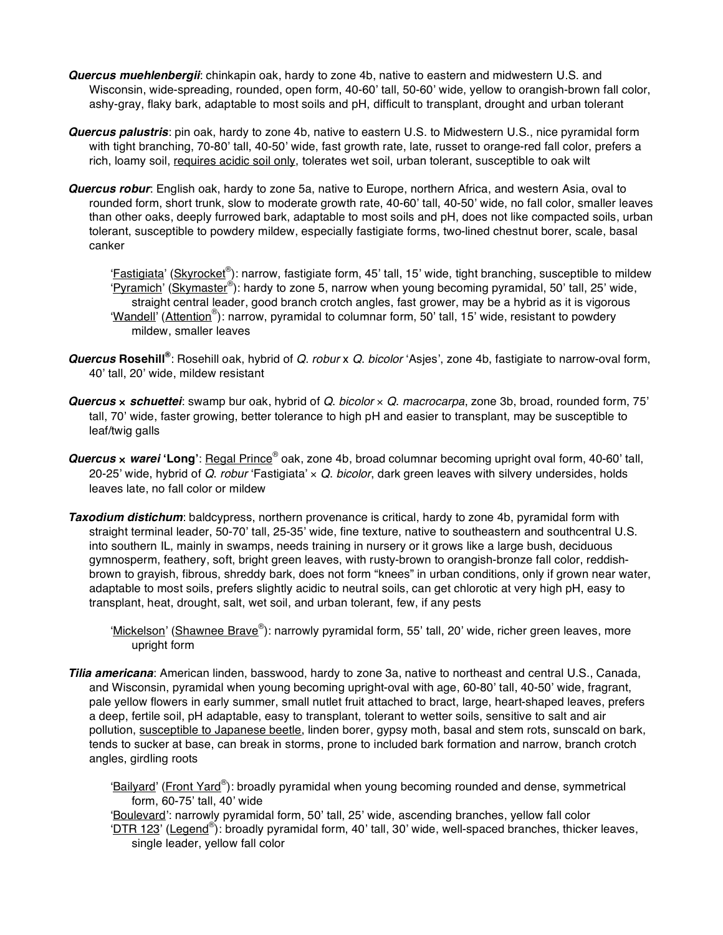- *Quercus muehlenbergii*: chinkapin oak, hardy to zone 4b, native to eastern and midwestern U.S. and Wisconsin, wide-spreading, rounded, open form, 40-60' tall, 50-60' wide, yellow to orangish-brown fall color, ashy-gray, flaky bark, adaptable to most soils and pH, difficult to transplant, drought and urban tolerant
- *Quercus palustris*: pin oak, hardy to zone 4b, native to eastern U.S. to Midwestern U.S., nice pyramidal form with tight branching, 70-80' tall, 40-50' wide, fast growth rate, late, russet to orange-red fall color, prefers a rich, loamy soil, requires acidic soil only, tolerates wet soil, urban tolerant, susceptible to oak wilt
- *Quercus robur*: English oak, hardy to zone 5a, native to Europe, northern Africa, and western Asia, oval to rounded form, short trunk, slow to moderate growth rate, 40-60' tall, 40-50' wide, no fall color, smaller leaves than other oaks, deeply furrowed bark, adaptable to most soils and pH, does not like compacted soils, urban tolerant, susceptible to powdery mildew, especially fastigiate forms, two-lined chestnut borer, scale, basal canker

'Eastigiata' (Skyrocket®): narrow, fastigiate form, 45' tall, 15' wide, tight branching, susceptible to mildew ʻPyramich' (Skymaster® ): hardy to zone 5, narrow when young becoming pyramidal, 50' tall, 25' wide, straight central leader, good branch crotch angles, fast grower, may be a hybrid as it is vigorous 'Wandell' (Attention®): narrow, pyramidal to columnar form, 50' tall, 15' wide, resistant to powdery mildew, smaller leaves

- **Quercus Rosehill®**: Rosehill oak, hybrid of *Q. robur* x *Q. bicolor* 'Asjes', zone 4b, fastigiate to narrow-oval form, 40' tall, 20' wide, mildew resistant
- *Quercus* × *schuettei*: swamp bur oak, hybrid of *Q*. *bicolor* × *Q*. *macrocarpa*, zone 3b, broad, rounded form, 75' tall, 70' wide, faster growing, better tolerance to high pH and easier to transplant, may be susceptible to leaf/twig galls
- *Quercus* × *warei* **ʻLong'**: Regal Prince® oak, zone 4b, broad columnar becoming upright oval form, 40-60' tall, 20-25' wide, hybrid of *Q*. *robur* ʻFastigiata' × *Q*. *bicolor*, dark green leaves with silvery undersides, holds leaves late, no fall color or mildew
- *Taxodium distichum*: baldcypress, northern provenance is critical, hardy to zone 4b, pyramidal form with straight terminal leader, 50-70' tall, 25-35' wide, fine texture, native to southeastern and southcentral U.S. into southern IL, mainly in swamps, needs training in nursery or it grows like a large bush, deciduous gymnosperm, feathery, soft, bright green leaves, with rusty-brown to orangish-bronze fall color, reddishbrown to grayish, fibrous, shreddy bark, does not form "knees" in urban conditions, only if grown near water, adaptable to most soils, prefers slightly acidic to neutral soils, can get chlorotic at very high pH, easy to transplant, heat, drought, salt, wet soil, and urban tolerant, few, if any pests
	- 'Mickelson' (Shawnee Brave®): narrowly pyramidal form, 55' tall, 20' wide, richer green leaves, more upright form
- *Tilia americana*: American linden, basswood, hardy to zone 3a, native to northeast and central U.S., Canada, and Wisconsin, pyramidal when young becoming upright-oval with age, 60-80' tall, 40-50' wide, fragrant, pale yellow flowers in early summer, small nutlet fruit attached to bract, large, heart-shaped leaves, prefers a deep, fertile soil, pH adaptable, easy to transplant, tolerant to wetter soils, sensitive to salt and air pollution, susceptible to Japanese beetle, linden borer, gypsy moth, basal and stem rots, sunscald on bark, tends to sucker at base, can break in storms, prone to included bark formation and narrow, branch crotch angles, girdling roots
	- 'Bailyard' (Front Yard®): broadly pyramidal when young becoming rounded and dense, symmetrical form, 60-75' tall, 40' wide
	- ʻBoulevard': narrowly pyramidal form, 50' tall, 25' wide, ascending branches, yellow fall color ʻDTR 123' (Legend® ): broadly pyramidal form, 40' tall, 30' wide, well-spaced branches, thicker leaves, single leader, yellow fall color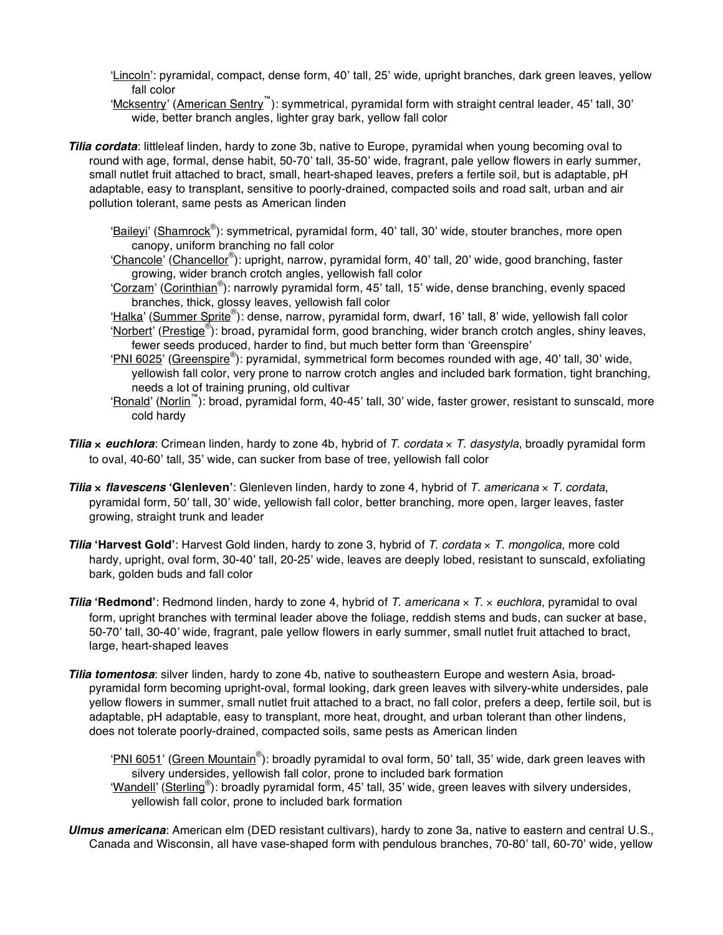ʻLincoln': pyramidal, compact, dense form, 40' tall, 25' wide, upright branches, dark green leaves, yellow fall color

ʻMcksentry' (American Sentry™): symmetrical, pyramidal form with straight central leader, 45' tall, 30' wide, better branch angles, lighter gray bark, yellow fall color

*Tilia cordata*: littleleaf linden, hardy to zone 3b, native to Europe, pyramidal when young becoming oval to round with age, formal, dense habit, 50-70' tall, 35-50' wide, fragrant, pale yellow flowers in early summer, small nutlet fruit attached to bract, small, heart-shaped leaves, prefers a fertile soil, but is adaptable, pH adaptable, easy to transplant, sensitive to poorly-drained, compacted soils and road salt, urban and air pollution tolerant, same pests as American linden

'Baileyi' (Shamrock®): symmetrical, pyramidal form, 40' tall, 30' wide, stouter branches, more open canopy, uniform branching no fall color

ʻChancole' (Chancellor® ): upright, narrow, pyramidal form, 40' tall, 20' wide, good branching, faster growing, wider branch crotch angles, yellowish fall color

'Corzam' (Corinthian®): narrowly pyramidal form, 45' tall, 15' wide, dense branching, evenly spaced branches, thick, glossy leaves, yellowish fall color

ʻHalka' (Summer Sprite® ): dense, narrow, pyramidal form, dwarf, 16' tall, 8' wide, yellowish fall color

'Norbert' (Prestige®): broad, pyramidal form, good branching, wider branch crotch angles, shiny leaves, fewer seeds produced, harder to find, but much better form than ʻGreenspire'

ʻPNI 6025' (Greenspire® ): pyramidal, symmetrical form becomes rounded with age, 40' tall, 30' wide, yellowish fall color, very prone to narrow crotch angles and included bark formation, tight branching, needs a lot of training pruning, old cultivar

- ʻRonald' (Norlin™): broad, pyramidal form, 40-45' tall, 30' wide, faster grower, resistant to sunscald, more cold hardy
- *Tilia* × *euchlora*: Crimean linden, hardy to zone 4b, hybrid of *T*. *cordata* × *T*. *dasystyla*, broadly pyramidal form to oval, 40-60' tall, 35' wide, can sucker from base of tree, yellowish fall color
- *Tilia* × *flavescens* **ʻGlenleven'**: Glenleven linden, hardy to zone 4, hybrid of *T*. *americana* × *T*. *cordata*, pyramidal form, 50' tall, 30' wide, yellowish fall color, better branching, more open, larger leaves, faster growing, straight trunk and leader
- *Tilia* **ʻHarvest Gold'**: Harvest Gold linden, hardy to zone 3, hybrid of *T*. *cordata* × *T*. *mongolica*, more cold hardy, upright, oval form, 30-40' tall, 20-25' wide, leaves are deeply lobed, resistant to sunscald, exfoliating bark, golden buds and fall color
- *Tilia* **ʻRedmond'**: Redmond linden, hardy to zone 4, hybrid of *T*. *americana* × *T*. × *euchlora*, pyramidal to oval form, upright branches with terminal leader above the foliage, reddish stems and buds, can sucker at base, 50-70' tall, 30-40' wide, fragrant, pale yellow flowers in early summer, small nutlet fruit attached to bract, large, heart-shaped leaves
- *Tilia tomentosa*: silver linden, hardy to zone 4b, native to southeastern Europe and western Asia, broadpyramidal form becoming upright-oval, formal looking, dark green leaves with silvery-white undersides, pale yellow flowers in summer, small nutlet fruit attached to a bract, no fall color, prefers a deep, fertile soil, but is adaptable, pH adaptable, easy to transplant, more heat, drought, and urban tolerant than other lindens, does not tolerate poorly-drained, compacted soils, same pests as American linden

'PNI 6051' (Green Mountain®): broadly pyramidal to oval form, 50' tall, 35' wide, dark green leaves with silvery undersides, yellowish fall color, prone to included bark formation

ʻWandell' (Sterling® ): broadly pyramidal form, 45' tall, 35' wide, green leaves with silvery undersides, yellowish fall color, prone to included bark formation

*Ulmus americana*: American elm (DED resistant cultivars), hardy to zone 3a, native to eastern and central U.S., Canada and Wisconsin, all have vase-shaped form with pendulous branches, 70-80' tall, 60-70' wide, yellow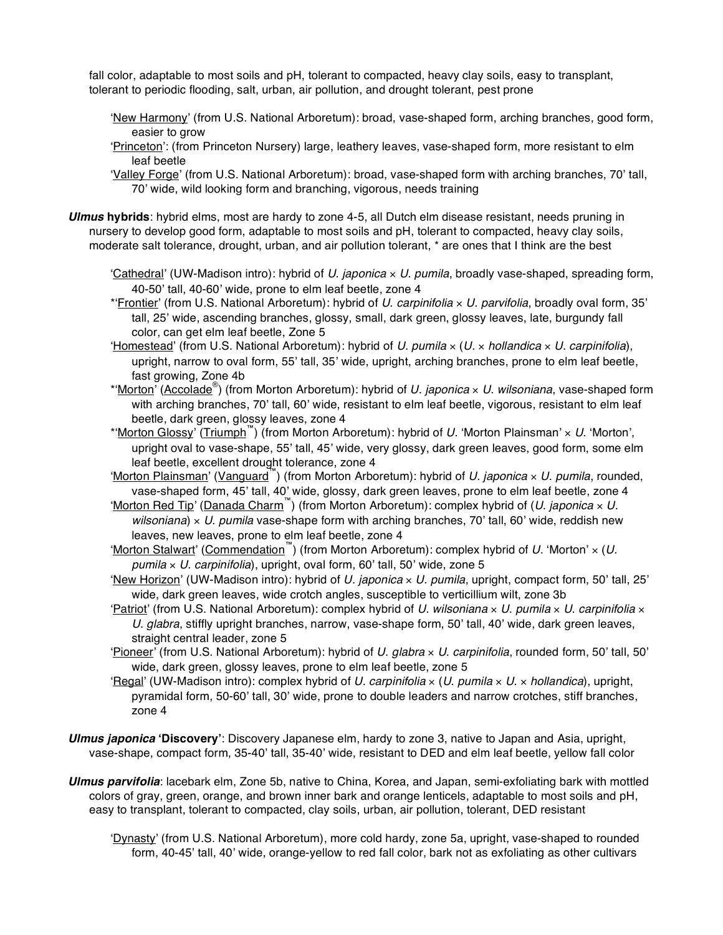fall color, adaptable to most soils and pH, tolerant to compacted, heavy clay soils, easy to transplant, tolerant to periodic flooding, salt, urban, air pollution, and drought tolerant, pest prone

- ʻNew Harmony' (from U.S. National Arboretum): broad, vase-shaped form, arching branches, good form, easier to grow
- ʻPrinceton': (from Princeton Nursery) large, leathery leaves, vase-shaped form, more resistant to elm leaf beetle
- ʻValley Forge' (from U.S. National Arboretum): broad, vase-shaped form with arching branches, 70' tall, 70' wide, wild looking form and branching, vigorous, needs training
- *Ulmus* **hybrids**: hybrid elms, most are hardy to zone 4-5, all Dutch elm disease resistant, needs pruning in nursery to develop good form, adaptable to most soils and pH, tolerant to compacted, heavy clay soils, moderate salt tolerance, drought, urban, and air pollution tolerant, \* are ones that I think are the best
	- ʻCathedral' (UW-Madison intro): hybrid of *U*. *japonica* × *U*. *pumila*, broadly vase-shaped, spreading form, 40-50' tall, 40-60' wide, prone to elm leaf beetle, zone 4
	- \*ʻFrontier' (from U.S. National Arboretum): hybrid of *U*. *carpinifolia* × *U*. *parvifolia*, broadly oval form, 35' tall, 25' wide, ascending branches, glossy, small, dark green, glossy leaves, late, burgundy fall color, can get elm leaf beetle, Zone 5
	- ʻHomestead' (from U.S. National Arboretum): hybrid of *U*. *pumila* × (*U*. × *hollandica* × *U*. *carpinifolia*), upright, narrow to oval form, 55' tall, 35' wide, upright, arching branches, prone to elm leaf beetle, fast growing, Zone 4b
	- \*ʻMorton' (Accolade® ) (from Morton Arboretum): hybrid of *U*. *japonica* × *U*. *wilsoniana*, vase-shaped form with arching branches, 70' tall, 60' wide, resistant to elm leaf beetle, vigorous, resistant to elm leaf beetle, dark green, glossy leaves, zone 4
	- \*ʻMorton Glossy' (Triumph™) (from Morton Arboretum): hybrid of *U*. ʻMorton Plainsman' × *U*. ʻMorton', upright oval to vase-shape, 55' tall, 45' wide, very glossy, dark green leaves, good form, some elm leaf beetle, excellent drought tolerance, zone 4
	- ʻMorton Plainsman' (Vanguard™) (from Morton Arboretum): hybrid of *U*. *japonica* × *U*. *pumila*, rounded, vase-shaped form, 45' tall, 40' wide, glossy, dark green leaves, prone to elm leaf beetle, zone 4
	- ʻMorton Red Tip' (Danada Charm™) (from Morton Arboretum): complex hybrid of (*U*. *japonica* × *U*. *wilsoniana*) × *U*. *pumila* vase-shape form with arching branches, 70' tall, 60' wide, reddish new leaves, new leaves, prone to elm leaf beetle, zone 4
	- ʻMorton Stalwart' (Commendation™) (from Morton Arboretum): complex hybrid of *U*. ʻMorton' × (*U*. *pumila* × *U*. *carpinifolia*), upright, oval form, 60' tall, 50' wide, zone 5
	- ʻNew Horizon' (UW-Madison intro): hybrid of *U*. *japonica* × *U*. *pumila*, upright, compact form, 50' tall, 25' wide, dark green leaves, wide crotch angles, susceptible to verticillium wilt, zone 3b
	- ʻPatriot' (from U.S. National Arboretum): complex hybrid of *U*. *wilsoniana* × *U*. *pumila* × *U*. *carpinifolia* × *U*. *glabra*, stiffly upright branches, narrow, vase-shape form, 50' tall, 40' wide, dark green leaves, straight central leader, zone 5
	- ʻPioneer' (from U.S. National Arboretum): hybrid of *U*. *glabra* × *U*. *carpinifolia*, rounded form, 50' tall, 50' wide, dark green, glossy leaves, prone to elm leaf beetle, zone 5
	- ʻRegal' (UW-Madison intro): complex hybrid of *U*. *carpinifolia* × (*U*. *pumila* × *U*. × *hollandica*), upright, pyramidal form, 50-60' tall, 30' wide, prone to double leaders and narrow crotches, stiff branches, zone 4
- *Ulmus japonica* **ʻDiscovery'**: Discovery Japanese elm, hardy to zone 3, native to Japan and Asia, upright, vase-shape, compact form, 35-40' tall, 35-40' wide, resistant to DED and elm leaf beetle, yellow fall color
- *Ulmus parvifolia*: lacebark elm, Zone 5b, native to China, Korea, and Japan, semi-exfoliating bark with mottled colors of gray, green, orange, and brown inner bark and orange lenticels, adaptable to most soils and pH, easy to transplant, tolerant to compacted, clay soils, urban, air pollution, tolerant, DED resistant

ʻDynasty' (from U.S. National Arboretum), more cold hardy, zone 5a, upright, vase-shaped to rounded form, 40-45' tall, 40' wide, orange-yellow to red fall color, bark not as exfoliating as other cultivars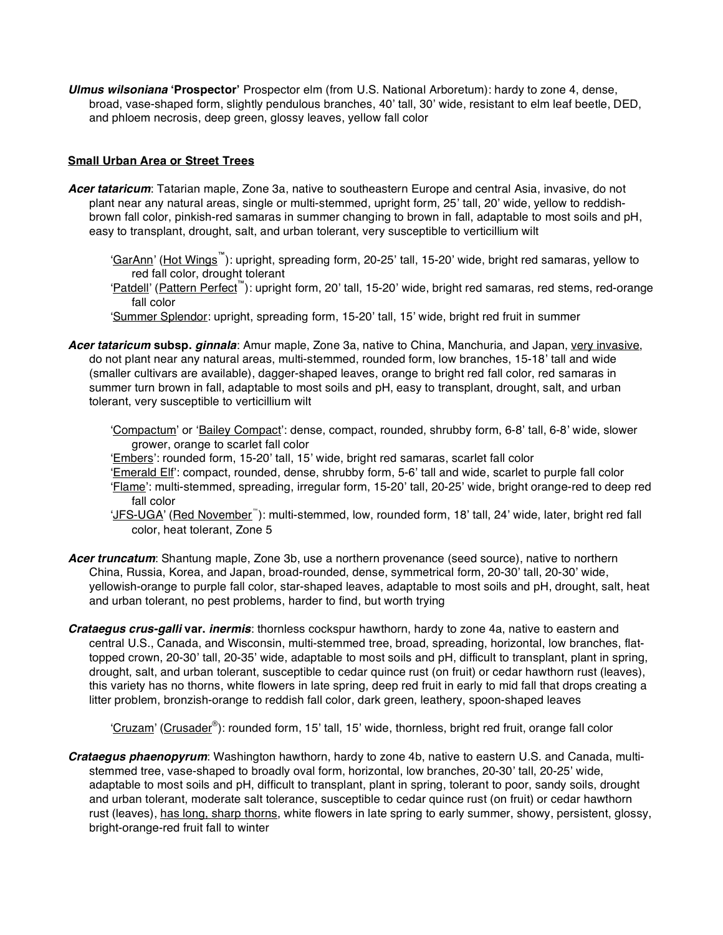*Ulmus wilsoniana* **ʻProspector'** Prospector elm (from U.S. National Arboretum): hardy to zone 4, dense, broad, vase-shaped form, slightly pendulous branches, 40' tall, 30' wide, resistant to elm leaf beetle, DED, and phloem necrosis, deep green, glossy leaves, yellow fall color

# **Small Urban Area or Street Trees**

- *Acer tataricum*: Tatarian maple, Zone 3a, native to southeastern Europe and central Asia, invasive, do not plant near any natural areas, single or multi-stemmed, upright form, 25' tall, 20' wide, yellow to reddishbrown fall color, pinkish-red samaras in summer changing to brown in fall, adaptable to most soils and pH, easy to transplant, drought, salt, and urban tolerant, very susceptible to verticillium wilt
	- ʻGarAnn' (Hot Wings™): upright, spreading form, 20-25' tall, 15-20' wide, bright red samaras, yellow to red fall color, drought tolerant
	- ʻPatdell' (Pattern Perfect™): upright form, 20' tall, 15-20' wide, bright red samaras, red stems, red-orange fall color
	- ʻSummer Splendor: upright, spreading form, 15-20' tall, 15' wide, bright red fruit in summer
- Acer tataricum subsp. *ginnala*: Amur maple, Zone 3a, native to China, Manchuria, and Japan, very invasive, do not plant near any natural areas, multi-stemmed, rounded form, low branches, 15-18' tall and wide (smaller cultivars are available), dagger-shaped leaves, orange to bright red fall color, red samaras in summer turn brown in fall, adaptable to most soils and pH, easy to transplant, drought, salt, and urban tolerant, very susceptible to verticillium wilt
	- ʻCompactum' or ʻBailey Compact': dense, compact, rounded, shrubby form, 6-8' tall, 6-8' wide, slower grower, orange to scarlet fall color
	- ʻEmbers': rounded form, 15-20' tall, 15' wide, bright red samaras, scarlet fall color ʻEmerald Elf': compact, rounded, dense, shrubby form, 5-6' tall and wide, scarlet to purple fall color ʻFlame': multi-stemmed, spreading, irregular form, 15-20' tall, 20-25' wide, bright orange-red to deep red fall color
	- 'JFS-UGA' (Red November<sup>"'</sup>): multi-stemmed, low, rounded form, 18' tall, 24' wide, later, bright red fall color, heat tolerant, Zone 5
- *Acer truncatum*: Shantung maple, Zone 3b, use a northern provenance (seed source), native to northern China, Russia, Korea, and Japan, broad-rounded, dense, symmetrical form, 20-30' tall, 20-30' wide, yellowish-orange to purple fall color, star-shaped leaves, adaptable to most soils and pH, drought, salt, heat and urban tolerant, no pest problems, harder to find, but worth trying
- *Crataegus crus-galli* **var.** *inermis*: thornless cockspur hawthorn, hardy to zone 4a, native to eastern and central U.S., Canada, and Wisconsin, multi-stemmed tree, broad, spreading, horizontal, low branches, flattopped crown, 20-30' tall, 20-35' wide, adaptable to most soils and pH, difficult to transplant, plant in spring, drought, salt, and urban tolerant, susceptible to cedar quince rust (on fruit) or cedar hawthorn rust (leaves), this variety has no thorns, white flowers in late spring, deep red fruit in early to mid fall that drops creating a litter problem, bronzish-orange to reddish fall color, dark green, leathery, spoon-shaped leaves

'Cruzam' (Crusader®): rounded form, 15' tall, 15' wide, thornless, bright red fruit, orange fall color

*Crataegus phaenopyrum*: Washington hawthorn, hardy to zone 4b, native to eastern U.S. and Canada, multistemmed tree, vase-shaped to broadly oval form, horizontal, low branches, 20-30' tall, 20-25' wide, adaptable to most soils and pH, difficult to transplant, plant in spring, tolerant to poor, sandy soils, drought and urban tolerant, moderate salt tolerance, susceptible to cedar quince rust (on fruit) or cedar hawthorn rust (leaves), has long, sharp thorns, white flowers in late spring to early summer, showy, persistent, glossy, bright-orange-red fruit fall to winter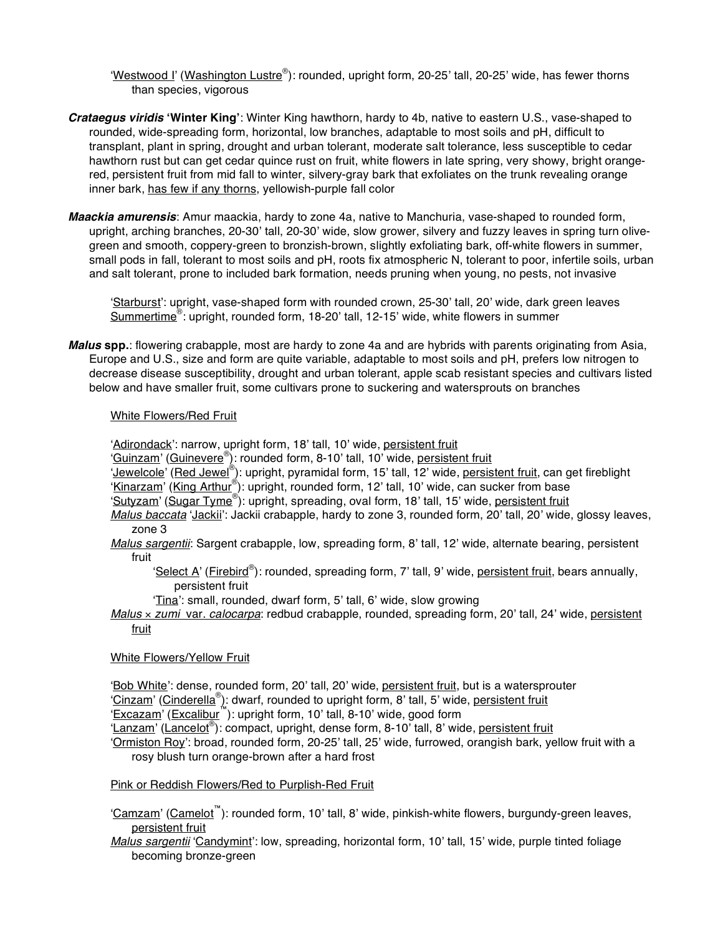'Westwood I' (Washington Lustre®): rounded, upright form, 20-25' tall, 20-25' wide, has fewer thorns than species, vigorous

- *Crataegus viridis* **ʻWinter King'**: Winter King hawthorn, hardy to 4b, native to eastern U.S., vase-shaped to rounded, wide-spreading form, horizontal, low branches, adaptable to most soils and pH, difficult to transplant, plant in spring, drought and urban tolerant, moderate salt tolerance, less susceptible to cedar hawthorn rust but can get cedar quince rust on fruit, white flowers in late spring, very showy, bright orangered, persistent fruit from mid fall to winter, silvery-gray bark that exfoliates on the trunk revealing orange inner bark, has few if any thorns, yellowish-purple fall color
- *Maackia amurensis*: Amur maackia, hardy to zone 4a, native to Manchuria, vase-shaped to rounded form, upright, arching branches, 20-30' tall, 20-30' wide, slow grower, silvery and fuzzy leaves in spring turn olivegreen and smooth, coppery-green to bronzish-brown, slightly exfoliating bark, off-white flowers in summer, small pods in fall, tolerant to most soils and pH, roots fix atmospheric N, tolerant to poor, infertile soils, urban and salt tolerant, prone to included bark formation, needs pruning when young, no pests, not invasive

ʻStarburst': upright, vase-shaped form with rounded crown, 25-30' tall, 20' wide, dark green leaves Summertime<sup>®</sup>: upright, rounded form, 18-20' tall, 12-15' wide, white flowers in summer

*Malus* **spp.**: flowering crabapple, most are hardy to zone 4a and are hybrids with parents originating from Asia, Europe and U.S., size and form are quite variable, adaptable to most soils and pH, prefers low nitrogen to decrease disease susceptibility, drought and urban tolerant, apple scab resistant species and cultivars listed below and have smaller fruit, some cultivars prone to suckering and watersprouts on branches

# White Flowers/Red Fruit

ʻAdirondack': narrow, upright form, 18' tall, 10' wide, persistent fruit

'Guinzam' (Guinevere®): rounded form, 8-10' tall, 10' wide, persistent fruit

'Jewelcole' (Red Jewel®): upright, pyramidal form, 15' tall, 12' wide, persistent fruit, can get fireblight

'Kinarzam' (King Arthur®): upright, rounded form, 12' tall, 10' wide, can sucker from base

'Sutyzam' (Sugar Tyme®): upright, spreading, oval form, 18' tall, 15' wide, persistent fruit

*Malus baccata* ʻJackii': Jackii crabapple, hardy to zone 3, rounded form, 20' tall, 20' wide, glossy leaves, zone 3

*Malus sargentii*: Sargent crabapple, low, spreading form, 8' tall, 12' wide, alternate bearing, persistent fruit

'Select A' (Firebird®): rounded, spreading form, 7' tall, 9' wide, persistent fruit, bears annually, persistent fruit

ʻTina': small, rounded, dwarf form, 5' tall, 6' wide, slow growing

*Malus* × *zumi* var. *calocarpa*: redbud crabapple, rounded, spreading form, 20' tall, 24' wide, persistent fruit

## White Flowers/Yellow Fruit

ʻBob White': dense, rounded form, 20' tall, 20' wide, persistent fruit, but is a watersprouter 'Cinzam' (Cinderella®): dwarf, rounded to upright form, 8' tall, 5' wide, persistent fruit ʻExcazam' (Excalibur™): upright form, 10' tall, 8-10' wide, good form

'Lanzam' (Lancelot®): compact, upright, dense form, 8-10' tall, 8' wide, persistent fruit

ʻOrmiston Roy': broad, rounded form, 20-25' tall, 25' wide, furrowed, orangish bark, yellow fruit with a rosy blush turn orange-brown after a hard frost

## Pink or Reddish Flowers/Red to Purplish-Red Fruit

ʻCamzam' (Camelot™): rounded form, 10' tall, 8' wide, pinkish-white flowers, burgundy-green leaves, persistent fruit

*Malus sargentii* ʻCandymint': low, spreading, horizontal form, 10' tall, 15' wide, purple tinted foliage becoming bronze-green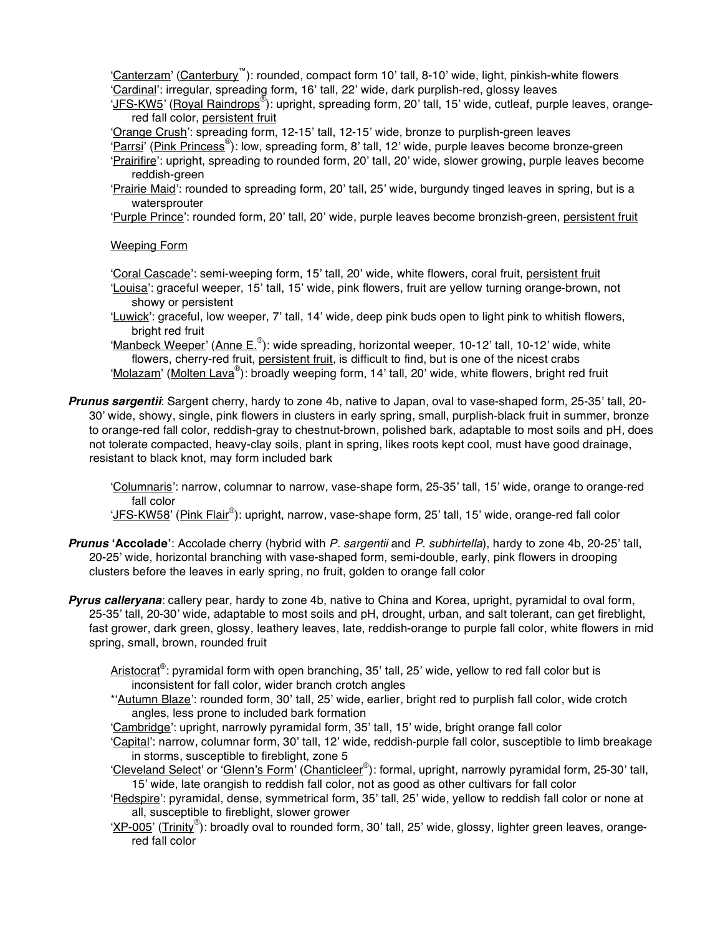ʻCanterzam' (Canterbury™): rounded, compact form 10' tall, 8-10' wide, light, pinkish-white flowers ʻCardinal': irregular, spreading form, 16' tall, 22' wide, dark purplish-red, glossy leaves

'JFS-KW5' (Royal Raindrops®): upright, spreading form, 20' tall, 15' wide, cutleaf, purple leaves, orangered fall color, persistent fruit

ʻOrange Crush': spreading form, 12-15' tall, 12-15' wide, bronze to purplish-green leaves

'Parrsi' (Pink Princess®): low, spreading form, 8' tall, 12' wide, purple leaves become bronze-green ʻPrairifire': upright, spreading to rounded form, 20' tall, 20' wide, slower growing, purple leaves become reddish-green

ʻPrairie Maid': rounded to spreading form, 20' tall, 25' wide, burgundy tinged leaves in spring, but is a watersprouter

ʻPurple Prince': rounded form, 20' tall, 20' wide, purple leaves become bronzish-green, persistent fruit

Weeping Form

ʻCoral Cascade': semi-weeping form, 15' tall, 20' wide, white flowers, coral fruit, persistent fruit ʻLouisa': graceful weeper, 15' tall, 15' wide, pink flowers, fruit are yellow turning orange-brown, not

- showy or persistent
- ʻLuwick': graceful, low weeper, 7' tall, 14' wide, deep pink buds open to light pink to whitish flowers, bright red fruit

'Manbeck Weeper' (Anne E.®): wide spreading, horizontal weeper, 10-12' tall, 10-12' wide, white flowers, cherry-red fruit, persistent fruit, is difficult to find, but is one of the nicest crabs 'Molazam' (Molten Lava®): broadly weeping form, 14' tall, 20' wide, white flowers, bright red fruit

*Prunus sargentii*: Sargent cherry, hardy to zone 4b, native to Japan, oval to vase-shaped form, 25-35' tall, 20- 30' wide, showy, single, pink flowers in clusters in early spring, small, purplish-black fruit in summer, bronze to orange-red fall color, reddish-gray to chestnut-brown, polished bark, adaptable to most soils and pH, does not tolerate compacted, heavy-clay soils, plant in spring, likes roots kept cool, must have good drainage, resistant to black knot, may form included bark

ʻColumnaris': narrow, columnar to narrow, vase-shape form, 25-35' tall, 15' wide, orange to orange-red fall color

'JFS-KW58' (Pink Flair®): upright, narrow, vase-shape form, 25' tall, 15' wide, orange-red fall color

- *Prunus* **ʻAccolade'**: Accolade cherry (hybrid with *P. sargentii* and *P. subhirtella*), hardy to zone 4b, 20-25' tall, 20-25' wide, horizontal branching with vase-shaped form, semi-double, early, pink flowers in drooping clusters before the leaves in early spring, no fruit, golden to orange fall color
- *Pyrus calleryana*: callery pear, hardy to zone 4b, native to China and Korea, upright, pyramidal to oval form, 25-35' tall, 20-30' wide, adaptable to most soils and pH, drought, urban, and salt tolerant, can get fireblight, fast grower, dark green, glossy, leathery leaves, late, reddish-orange to purple fall color, white flowers in mid spring, small, brown, rounded fruit
	- Aristocrat®: pyramidal form with open branching, 35' tall, 25' wide, yellow to red fall color but is inconsistent for fall color, wider branch crotch angles
	- \*ʻAutumn Blaze': rounded form, 30' tall, 25' wide, earlier, bright red to purplish fall color, wide crotch angles, less prone to included bark formation

ʻCambridge': upright, narrowly pyramidal form, 35' tall, 15' wide, bright orange fall color

- ʻCapital': narrow, columnar form, 30' tall, 12' wide, reddish-purple fall color, susceptible to limb breakage in storms, susceptible to fireblight, zone 5
- 'Cleveland Select' or 'Glenn's Form' (Chanticleer®): formal, upright, narrowly pyramidal form, 25-30' tall, 15' wide, late orangish to reddish fall color, not as good as other cultivars for fall color
- 'Redspire': pyramidal, dense, symmetrical form, 35' tall, 25' wide, yellow to reddish fall color or none at all, susceptible to fireblight, slower grower
- 'XP-005' (Trinity®): broadly oval to rounded form, 30' tall, 25' wide, glossy, lighter green leaves, orangered fall color